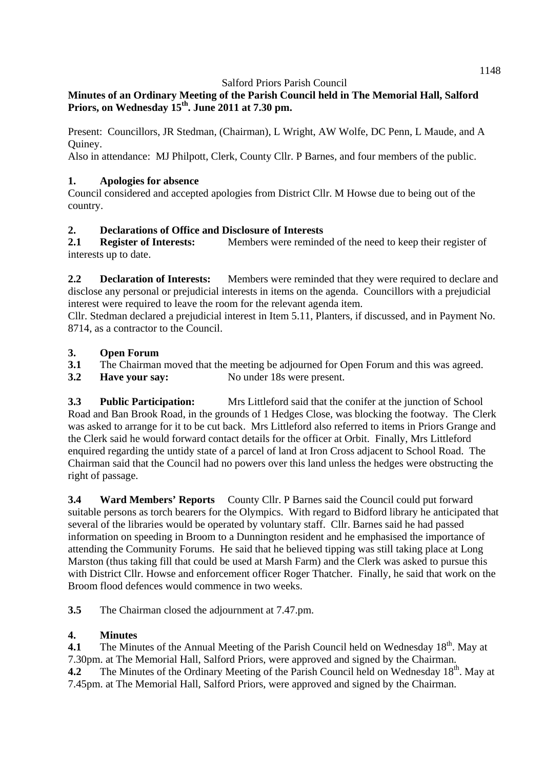# **Minutes of an Ordinary Meeting of the Parish Council held in The Memorial Hall, Salford Priors, on Wednesday 15th. June 2011 at 7.30 pm.**

Present: Councillors, JR Stedman, (Chairman), L Wright, AW Wolfe, DC Penn, L Maude, and A Quiney.

Also in attendance: MJ Philpott, Clerk, County Cllr. P Barnes, and four members of the public.

# **1. Apologies for absence**

Council considered and accepted apologies from District Cllr. M Howse due to being out of the country.

# **2. Declarations of Office and Disclosure of Interests**

**2.1 Register of Interests:** Members were reminded of the need to keep their register of interests up to date.

**2.2 Declaration of Interests:** Members were reminded that they were required to declare and disclose any personal or prejudicial interests in items on the agenda. Councillors with a prejudicial interest were required to leave the room for the relevant agenda item.

Cllr. Stedman declared a prejudicial interest in Item 5.11, Planters, if discussed, and in Payment No. 8714, as a contractor to the Council.

# **3. Open Forum**

- **3.1** The Chairman moved that the meeting be adjourned for Open Forum and this was agreed.
- **3.2 Have your say:** No under 18s were present.

**3.3 Public Participation:** Mrs Littleford said that the conifer at the junction of School Road and Ban Brook Road, in the grounds of 1 Hedges Close, was blocking the footway. The Clerk was asked to arrange for it to be cut back. Mrs Littleford also referred to items in Priors Grange and the Clerk said he would forward contact details for the officer at Orbit. Finally, Mrs Littleford enquired regarding the untidy state of a parcel of land at Iron Cross adjacent to School Road. The Chairman said that the Council had no powers over this land unless the hedges were obstructing the right of passage.

**3.4 Ward Members' Reports** County Cllr. P Barnes said the Council could put forward suitable persons as torch bearers for the Olympics. With regard to Bidford library he anticipated that several of the libraries would be operated by voluntary staff. Cllr. Barnes said he had passed information on speeding in Broom to a Dunnington resident and he emphasised the importance of attending the Community Forums. He said that he believed tipping was still taking place at Long Marston (thus taking fill that could be used at Marsh Farm) and the Clerk was asked to pursue this with District Cllr. Howse and enforcement officer Roger Thatcher. Finally, he said that work on the Broom flood defences would commence in two weeks.

**3.5** The Chairman closed the adjournment at 7.47.pm.

## **4. Minutes**

**4.1** The Minutes of the Annual Meeting of the Parish Council held on Wednesday 18<sup>th</sup>. May at 7.30pm. at The Memorial Hall, Salford Priors, were approved and signed by the Chairman. **4.2** The Minutes of the Ordinary Meeting of the Parish Council held on Wednesday 18<sup>th</sup>. May at 7.45pm. at The Memorial Hall, Salford Priors, were approved and signed by the Chairman.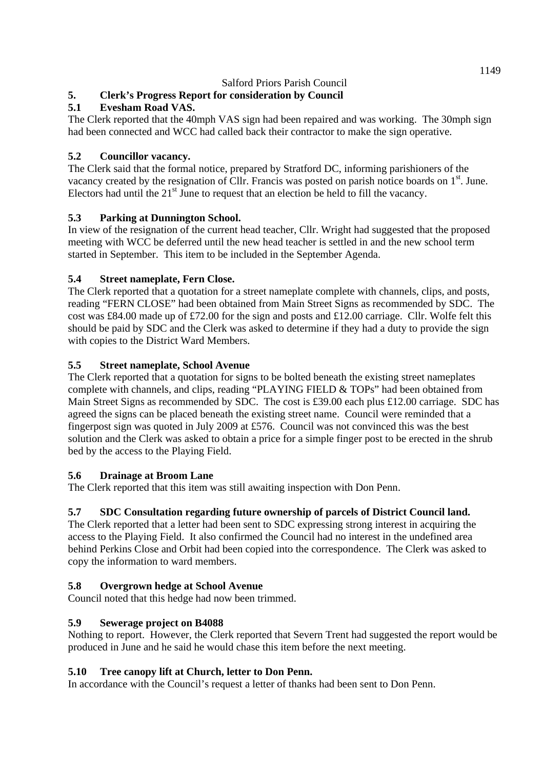# **5. Clerk's Progress Report for consideration by Council**

# **5.1 Evesham Road VAS.**

The Clerk reported that the 40mph VAS sign had been repaired and was working. The 30mph sign had been connected and WCC had called back their contractor to make the sign operative.

# **5.2 Councillor vacancy.**

The Clerk said that the formal notice, prepared by Stratford DC, informing parishioners of the vacancy created by the resignation of Cllr. Francis was posted on parish notice boards on 1<sup>st</sup>. June. Electors had until the  $21<sup>st</sup>$  June to request that an election be held to fill the vacancy.

# **5.3 Parking at Dunnington School.**

In view of the resignation of the current head teacher, Cllr. Wright had suggested that the proposed meeting with WCC be deferred until the new head teacher is settled in and the new school term started in September. This item to be included in the September Agenda.

# **5.4 Street nameplate, Fern Close.**

The Clerk reported that a quotation for a street nameplate complete with channels, clips, and posts, reading "FERN CLOSE" had been obtained from Main Street Signs as recommended by SDC. The cost was £84.00 made up of £72.00 for the sign and posts and £12.00 carriage. Cllr. Wolfe felt this should be paid by SDC and the Clerk was asked to determine if they had a duty to provide the sign with copies to the District Ward Members.

# **5.5 Street nameplate, School Avenue**

The Clerk reported that a quotation for signs to be bolted beneath the existing street nameplates complete with channels, and clips, reading "PLAYING FIELD & TOPs" had been obtained from Main Street Signs as recommended by SDC. The cost is £39.00 each plus £12.00 carriage. SDC has agreed the signs can be placed beneath the existing street name. Council were reminded that a fingerpost sign was quoted in July 2009 at £576. Council was not convinced this was the best solution and the Clerk was asked to obtain a price for a simple finger post to be erected in the shrub bed by the access to the Playing Field.

# **5.6 Drainage at Broom Lane**

The Clerk reported that this item was still awaiting inspection with Don Penn.

# **5.7 SDC Consultation regarding future ownership of parcels of District Council land.**

The Clerk reported that a letter had been sent to SDC expressing strong interest in acquiring the access to the Playing Field. It also confirmed the Council had no interest in the undefined area behind Perkins Close and Orbit had been copied into the correspondence. The Clerk was asked to copy the information to ward members.

# **5.8 Overgrown hedge at School Avenue**

Council noted that this hedge had now been trimmed.

# **5.9 Sewerage project on B4088**

Nothing to report. However, the Clerk reported that Severn Trent had suggested the report would be produced in June and he said he would chase this item before the next meeting.

# **5.10 Tree canopy lift at Church, letter to Don Penn.**

In accordance with the Council's request a letter of thanks had been sent to Don Penn.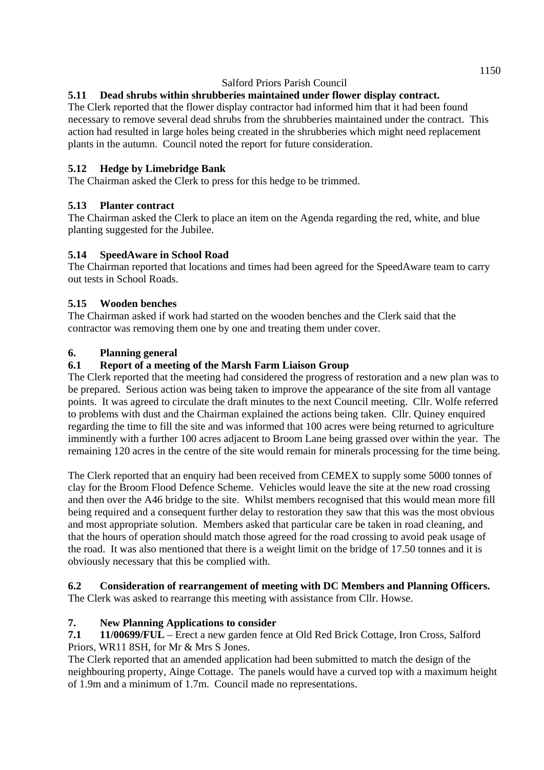# **5.11 Dead shrubs within shrubberies maintained under flower display contract.**

The Clerk reported that the flower display contractor had informed him that it had been found necessary to remove several dead shrubs from the shrubberies maintained under the contract. This action had resulted in large holes being created in the shrubberies which might need replacement plants in the autumn. Council noted the report for future consideration.

# **5.12 Hedge by Limebridge Bank**

The Chairman asked the Clerk to press for this hedge to be trimmed.

# **5.13 Planter contract**

The Chairman asked the Clerk to place an item on the Agenda regarding the red, white, and blue planting suggested for the Jubilee.

## **5.14 SpeedAware in School Road**

The Chairman reported that locations and times had been agreed for the SpeedAware team to carry out tests in School Roads.

## **5.15 Wooden benches**

The Chairman asked if work had started on the wooden benches and the Clerk said that the contractor was removing them one by one and treating them under cover.

## **6. Planning general**

## **6.1 Report of a meeting of the Marsh Farm Liaison Group**

The Clerk reported that the meeting had considered the progress of restoration and a new plan was to be prepared. Serious action was being taken to improve the appearance of the site from all vantage points. It was agreed to circulate the draft minutes to the next Council meeting. Cllr. Wolfe referred to problems with dust and the Chairman explained the actions being taken. Cllr. Quiney enquired regarding the time to fill the site and was informed that 100 acres were being returned to agriculture imminently with a further 100 acres adjacent to Broom Lane being grassed over within the year. The remaining 120 acres in the centre of the site would remain for minerals processing for the time being.

The Clerk reported that an enquiry had been received from CEMEX to supply some 5000 tonnes of clay for the Broom Flood Defence Scheme. Vehicles would leave the site at the new road crossing and then over the A46 bridge to the site. Whilst members recognised that this would mean more fill being required and a consequent further delay to restoration they saw that this was the most obvious and most appropriate solution. Members asked that particular care be taken in road cleaning, and that the hours of operation should match those agreed for the road crossing to avoid peak usage of the road. It was also mentioned that there is a weight limit on the bridge of 17.50 tonnes and it is obviously necessary that this be complied with.

## **6.2 Consideration of rearrangement of meeting with DC Members and Planning Officers.**

The Clerk was asked to rearrange this meeting with assistance from Cllr. Howse.

## **7. New Planning Applications to consider**

**7.1 11/00699/FUL** – Erect a new garden fence at Old Red Brick Cottage, Iron Cross, Salford Priors, WR11 8SH, for Mr & Mrs S Jones.

The Clerk reported that an amended application had been submitted to match the design of the neighbouring property, Ainge Cottage. The panels would have a curved top with a maximum height of 1.9m and a minimum of 1.7m. Council made no representations.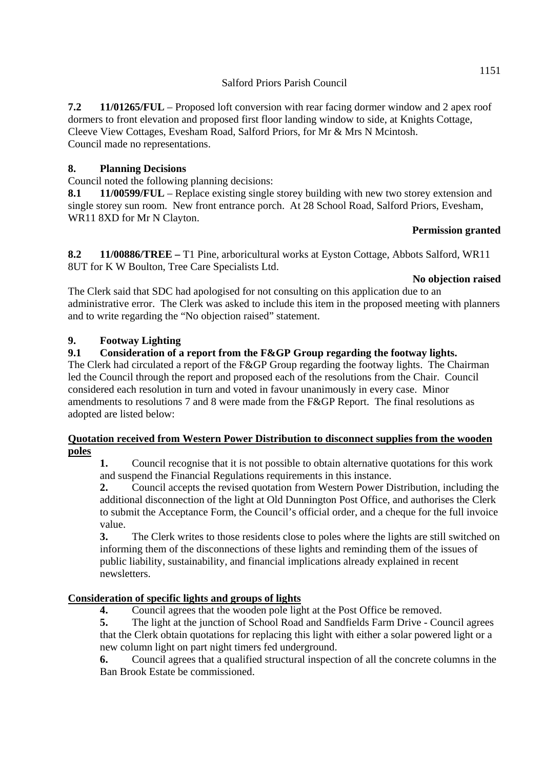**7.2 11/01265/FUL** – Proposed loft conversion with rear facing dormer window and 2 apex roof dormers to front elevation and proposed first floor landing window to side, at Knights Cottage, Cleeve View Cottages, Evesham Road, Salford Priors, for Mr & Mrs N Mcintosh. Council made no representations.

# **8. Planning Decisions**

Council noted the following planning decisions:

**8.1 11/00599/FUL** – Replace existing single storey building with new two storey extension and single storey sun room. New front entrance porch. At 28 School Road, Salford Priors, Evesham, WR11 8XD for Mr N Clayton.

#### **Permission granted**

**8.2 11/00886/TREE –** T1 Pine, arboricultural works at Eyston Cottage, Abbots Salford, WR11 8UT for K W Boulton, Tree Care Specialists Ltd.

#### **No objection raised**

The Clerk said that SDC had apologised for not consulting on this application due to an administrative error. The Clerk was asked to include this item in the proposed meeting with planners and to write regarding the "No objection raised" statement.

## **9. Footway Lighting**

## **9.1 Consideration of a report from the F&GP Group regarding the footway lights.**

The Clerk had circulated a report of the F&GP Group regarding the footway lights. The Chairman led the Council through the report and proposed each of the resolutions from the Chair. Council considered each resolution in turn and voted in favour unanimously in every case. Minor amendments to resolutions 7 and 8 were made from the F&GP Report. The final resolutions as adopted are listed below:

## **Quotation received from Western Power Distribution to disconnect supplies from the wooden poles**

**1.** Council recognise that it is not possible to obtain alternative quotations for this work and suspend the Financial Regulations requirements in this instance.

**2.** Council accepts the revised quotation from Western Power Distribution, including the additional disconnection of the light at Old Dunnington Post Office, and authorises the Clerk to submit the Acceptance Form, the Council's official order, and a cheque for the full invoice value.

**3.** The Clerk writes to those residents close to poles where the lights are still switched on informing them of the disconnections of these lights and reminding them of the issues of public liability, sustainability, and financial implications already explained in recent newsletters.

## **Consideration of specific lights and groups of lights**

**4.** Council agrees that the wooden pole light at the Post Office be removed.

**5.** The light at the junction of School Road and Sandfields Farm Drive - Council agrees that the Clerk obtain quotations for replacing this light with either a solar powered light or a new column light on part night timers fed underground.

**6.** Council agrees that a qualified structural inspection of all the concrete columns in the Ban Brook Estate be commissioned.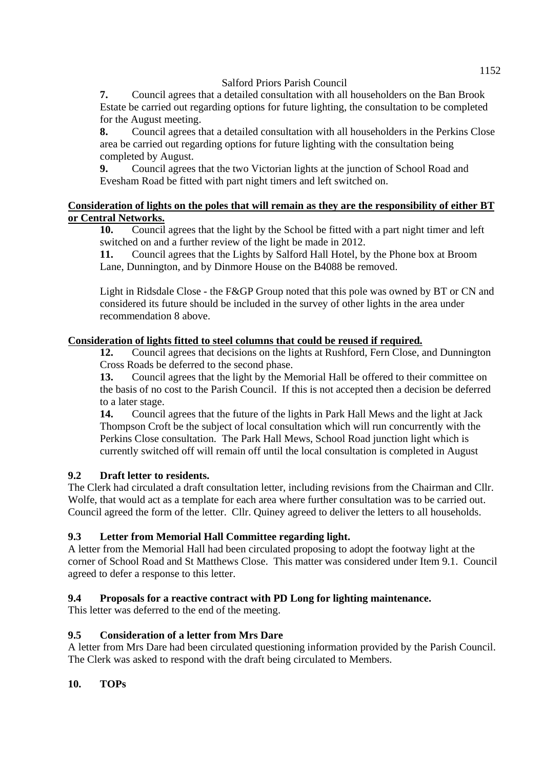**7.** Council agrees that a detailed consultation with all householders on the Ban Brook Estate be carried out regarding options for future lighting, the consultation to be completed for the August meeting.

**8.** Council agrees that a detailed consultation with all householders in the Perkins Close area be carried out regarding options for future lighting with the consultation being completed by August.

**9.** Council agrees that the two Victorian lights at the junction of School Road and Evesham Road be fitted with part night timers and left switched on.

#### **Consideration of lights on the poles that will remain as they are the responsibility of either BT or Central Networks.**

**10.** Council agrees that the light by the School be fitted with a part night timer and left switched on and a further review of the light be made in 2012.

**11.** Council agrees that the Lights by Salford Hall Hotel, by the Phone box at Broom Lane, Dunnington, and by Dinmore House on the B4088 be removed.

Light in Ridsdale Close - the F&GP Group noted that this pole was owned by BT or CN and considered its future should be included in the survey of other lights in the area under recommendation 8 above.

## **Consideration of lights fitted to steel columns that could be reused if required.**

**12.** Council agrees that decisions on the lights at Rushford, Fern Close, and Dunnington Cross Roads be deferred to the second phase.

**13.** Council agrees that the light by the Memorial Hall be offered to their committee on the basis of no cost to the Parish Council. If this is not accepted then a decision be deferred to a later stage.

**14.** Council agrees that the future of the lights in Park Hall Mews and the light at Jack Thompson Croft be the subject of local consultation which will run concurrently with the Perkins Close consultation. The Park Hall Mews, School Road junction light which is currently switched off will remain off until the local consultation is completed in August

## **9.2 Draft letter to residents.**

The Clerk had circulated a draft consultation letter, including revisions from the Chairman and Cllr. Wolfe, that would act as a template for each area where further consultation was to be carried out. Council agreed the form of the letter. Cllr. Quiney agreed to deliver the letters to all households.

## **9.3 Letter from Memorial Hall Committee regarding light.**

A letter from the Memorial Hall had been circulated proposing to adopt the footway light at the corner of School Road and St Matthews Close. This matter was considered under Item 9.1. Council agreed to defer a response to this letter.

## **9.4 Proposals for a reactive contract with PD Long for lighting maintenance.**

This letter was deferred to the end of the meeting.

#### **9.5 Consideration of a letter from Mrs Dare**

A letter from Mrs Dare had been circulated questioning information provided by the Parish Council. The Clerk was asked to respond with the draft being circulated to Members.

## **10. TOPs**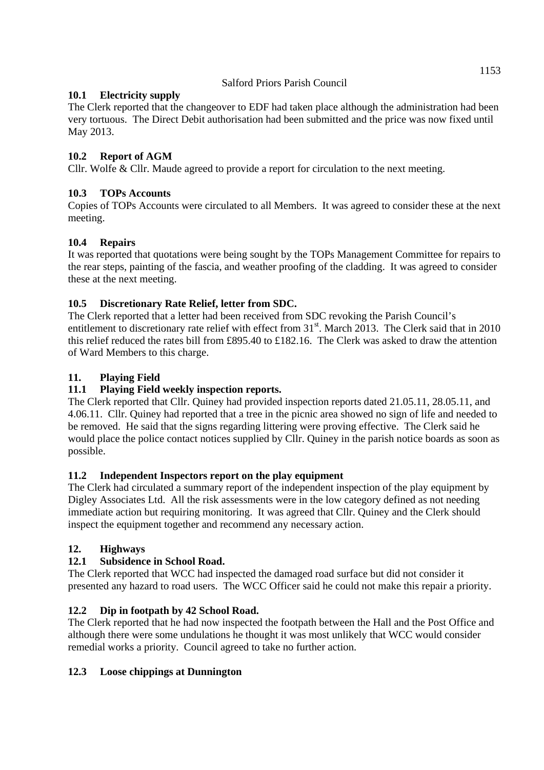# **10.1 Electricity supply**

The Clerk reported that the changeover to EDF had taken place although the administration had been very tortuous. The Direct Debit authorisation had been submitted and the price was now fixed until May 2013.

# **10.2 Report of AGM**

Cllr. Wolfe & Cllr. Maude agreed to provide a report for circulation to the next meeting.

# **10.3 TOPs Accounts**

Copies of TOPs Accounts were circulated to all Members. It was agreed to consider these at the next meeting.

# **10.4 Repairs**

It was reported that quotations were being sought by the TOPs Management Committee for repairs to the rear steps, painting of the fascia, and weather proofing of the cladding. It was agreed to consider these at the next meeting.

# **10.5 Discretionary Rate Relief, letter from SDC.**

The Clerk reported that a letter had been received from SDC revoking the Parish Council's entitlement to discretionary rate relief with effect from 31<sup>st</sup>. March 2013. The Clerk said that in 2010 this relief reduced the rates bill from £895.40 to £182.16. The Clerk was asked to draw the attention of Ward Members to this charge.

# **11. Playing Field**

# **11.1 Playing Field weekly inspection reports.**

The Clerk reported that Cllr. Quiney had provided inspection reports dated 21.05.11, 28.05.11, and 4.06.11. Cllr. Quiney had reported that a tree in the picnic area showed no sign of life and needed to be removed. He said that the signs regarding littering were proving effective. The Clerk said he would place the police contact notices supplied by Cllr. Quiney in the parish notice boards as soon as possible.

# **11.2 Independent Inspectors report on the play equipment**

The Clerk had circulated a summary report of the independent inspection of the play equipment by Digley Associates Ltd. All the risk assessments were in the low category defined as not needing immediate action but requiring monitoring. It was agreed that Cllr. Quiney and the Clerk should inspect the equipment together and recommend any necessary action.

# **12. Highways**

## **12.1 Subsidence in School Road.**

The Clerk reported that WCC had inspected the damaged road surface but did not consider it presented any hazard to road users. The WCC Officer said he could not make this repair a priority.

# **12.2 Dip in footpath by 42 School Road.**

The Clerk reported that he had now inspected the footpath between the Hall and the Post Office and although there were some undulations he thought it was most unlikely that WCC would consider remedial works a priority. Council agreed to take no further action.

## **12.3 Loose chippings at Dunnington**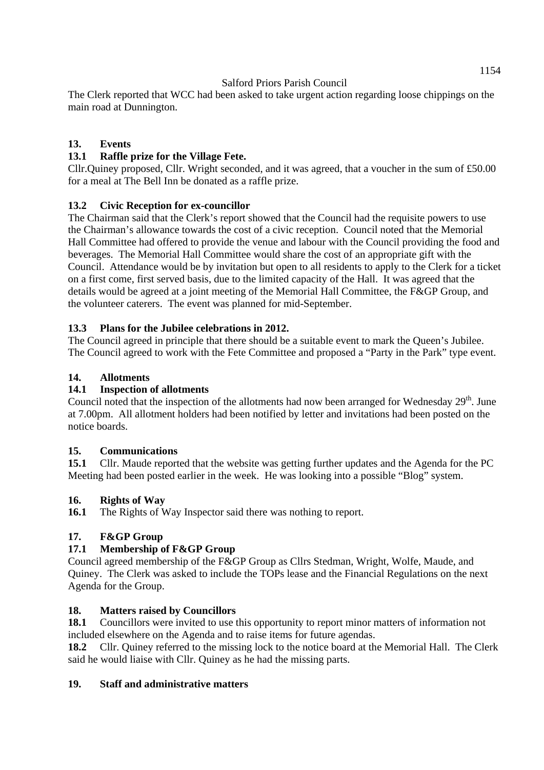The Clerk reported that WCC had been asked to take urgent action regarding loose chippings on the main road at Dunnington.

# **13. Events**

# **13.1 Raffle prize for the Village Fete.**

Cllr.Quiney proposed, Cllr. Wright seconded, and it was agreed, that a voucher in the sum of £50.00 for a meal at The Bell Inn be donated as a raffle prize.

# **13.2 Civic Reception for ex-councillor**

The Chairman said that the Clerk's report showed that the Council had the requisite powers to use the Chairman's allowance towards the cost of a civic reception. Council noted that the Memorial Hall Committee had offered to provide the venue and labour with the Council providing the food and beverages. The Memorial Hall Committee would share the cost of an appropriate gift with the Council. Attendance would be by invitation but open to all residents to apply to the Clerk for a ticket on a first come, first served basis, due to the limited capacity of the Hall. It was agreed that the details would be agreed at a joint meeting of the Memorial Hall Committee, the F&GP Group, and the volunteer caterers. The event was planned for mid-September.

# **13.3 Plans for the Jubilee celebrations in 2012.**

The Council agreed in principle that there should be a suitable event to mark the Queen's Jubilee. The Council agreed to work with the Fete Committee and proposed a "Party in the Park" type event.

# **14. Allotments**

# **14.1 Inspection of allotments**

Council noted that the inspection of the allotments had now been arranged for Wednesday  $29<sup>th</sup>$ . June at 7.00pm. All allotment holders had been notified by letter and invitations had been posted on the notice boards.

# **15. Communications**

**15.1** Cllr. Maude reported that the website was getting further updates and the Agenda for the PC Meeting had been posted earlier in the week. He was looking into a possible "Blog" system.

# **16. Rights of Way**

**16.1** The Rights of Way Inspector said there was nothing to report.

# **17. F&GP Group**

# **17.1 Membership of F&GP Group**

Council agreed membership of the F&GP Group as Cllrs Stedman, Wright, Wolfe, Maude, and Quiney. The Clerk was asked to include the TOPs lease and the Financial Regulations on the next Agenda for the Group.

## **18. Matters raised by Councillors**

**18.1** Councillors were invited to use this opportunity to report minor matters of information not included elsewhere on the Agenda and to raise items for future agendas.

**18.2** Cllr. Quiney referred to the missing lock to the notice board at the Memorial Hall. The Clerk said he would liaise with Cllr. Quiney as he had the missing parts.

## **19. Staff and administrative matters**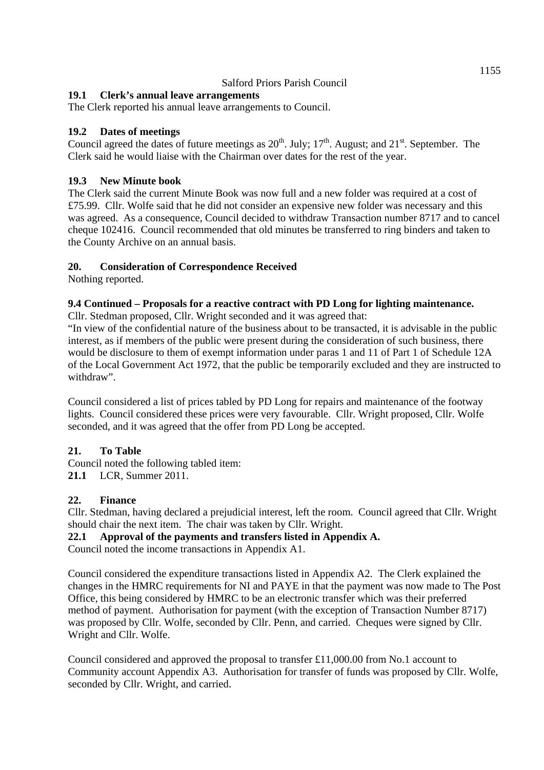## **19.1 Clerk's annual leave arrangements**

The Clerk reported his annual leave arrangements to Council.

## **19.2 Dates of meetings**

Council agreed the dates of future meetings as  $20^{th}$ . July;  $17^{th}$ . August; and  $21^{st}$ . September. The Clerk said he would liaise with the Chairman over dates for the rest of the year.

#### **19.3 New Minute book**

The Clerk said the current Minute Book was now full and a new folder was required at a cost of £75.99. Cllr. Wolfe said that he did not consider an expensive new folder was necessary and this was agreed. As a consequence, Council decided to withdraw Transaction number 8717 and to cancel cheque 102416. Council recommended that old minutes be transferred to ring binders and taken to the County Archive on an annual basis.

## **20. Consideration of Correspondence Received**

Nothing reported.

## **9.4 Continued – Proposals for a reactive contract with PD Long for lighting maintenance.**

Cllr. Stedman proposed, Cllr. Wright seconded and it was agreed that:

"In view of the confidential nature of the business about to be transacted, it is advisable in the public interest, as if members of the public were present during the consideration of such business, there would be disclosure to them of exempt information under paras 1 and 11 of Part 1 of Schedule 12A of the Local Government Act 1972, that the public be temporarily excluded and they are instructed to withdraw".

Council considered a list of prices tabled by PD Long for repairs and maintenance of the footway lights. Council considered these prices were very favourable. Cllr. Wright proposed, Cllr. Wolfe seconded, and it was agreed that the offer from PD Long be accepted.

## **21. To Table**

Council noted the following tabled item: **21.1** LCR, Summer 2011.

## **22. Finance**

Cllr. Stedman, having declared a prejudicial interest, left the room. Council agreed that Cllr. Wright should chair the next item. The chair was taken by Cllr. Wright.

## **22.1 Approval of the payments and transfers listed in Appendix A.**

Council noted the income transactions in Appendix A1.

Council considered the expenditure transactions listed in Appendix A2. The Clerk explained the changes in the HMRC requirements for NI and PAYE in that the payment was now made to The Post Office, this being considered by HMRC to be an electronic transfer which was their preferred method of payment. Authorisation for payment (with the exception of Transaction Number 8717) was proposed by Cllr. Wolfe, seconded by Cllr. Penn, and carried. Cheques were signed by Cllr. Wright and Cllr. Wolfe.

Council considered and approved the proposal to transfer £11,000.00 from No.1 account to Community account Appendix A3. Authorisation for transfer of funds was proposed by Cllr. Wolfe, seconded by Cllr. Wright, and carried.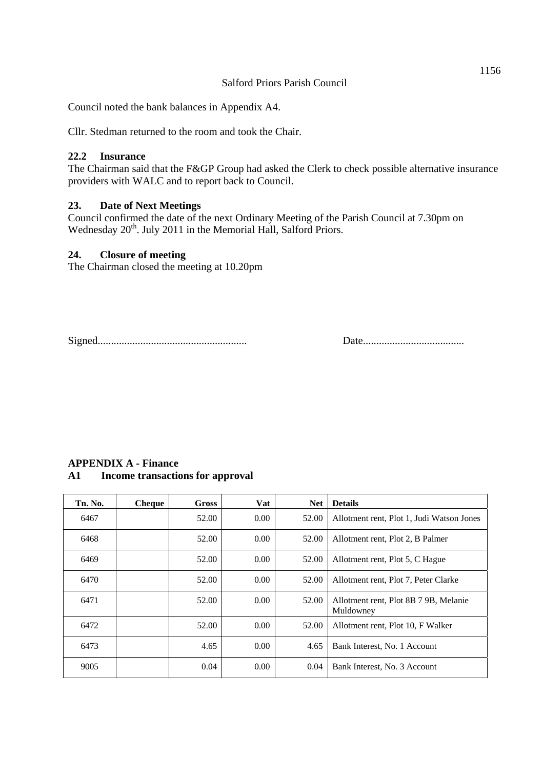Council noted the bank balances in Appendix A4.

Cllr. Stedman returned to the room and took the Chair.

#### **22.2 Insurance**

The Chairman said that the F&GP Group had asked the Clerk to check possible alternative insurance providers with WALC and to report back to Council.

#### **23. Date of Next Meetings**

Council confirmed the date of the next Ordinary Meeting of the Parish Council at 7.30pm on Wednesday 20<sup>th</sup>. July 2011 in the Memorial Hall, Salford Priors.

#### **24. Closure of meeting**

The Chairman closed the meeting at 10.20pm

Signed........................................................ Date......................................

#### **APPENDIX A - Finance A1 Income transactions for approval**

| Tn. No. | <b>Cheque</b> | <b>Gross</b> | Vat            | <b>Net</b> | <b>Details</b>                                     |
|---------|---------------|--------------|----------------|------------|----------------------------------------------------|
| 6467    |               | 52.00        | 0.00           | 52.00      | Allotment rent, Plot 1, Judi Watson Jones          |
| 6468    |               | 52.00        | $0.00^{\circ}$ | 52.00      | Allotment rent, Plot 2, B Palmer                   |
| 6469    |               | 52.00        | 0.00           | 52.00      | Allotment rent, Plot 5, C Hague                    |
| 6470    |               | 52.00        | 0.00           | 52.00      | Allotment rent, Plot 7, Peter Clarke               |
| 6471    |               | 52.00        | 0.00           | 52.00      | Allotment rent, Plot 8B 7 9B, Melanie<br>Muldowney |
| 6472    |               | 52.00        | 0.00           | 52.00      | Allotment rent, Plot 10, F Walker                  |
| 6473    |               | 4.65         | 0.00           | 4.65       | Bank Interest, No. 1 Account                       |
| 9005    |               | 0.04         | 0.00           | 0.04       | Bank Interest, No. 3 Account                       |